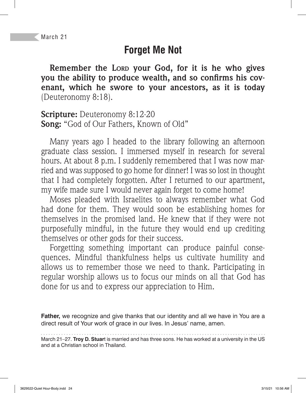### **Forget Me Not**

**Remember the LORD your God, for it is he who gives**  you the ability to produce wealth, and so confirms his cov**enant, which he swore to your ancestors, as it is today**  (Deuteronomy 8:18).

**Scripture:** Deuteronomy 8:12-20 **Song:** "God of Our Fathers, Known of Old"

Many years ago I headed to the library following an afternoon graduate class session. I immersed myself in research for several hours. At about 8 p.m. I suddenly remembered that I was now married and was supposed to go home for dinner! I was so lost in thought that I had completely forgotten. After I returned to our apartment, my wife made sure I would never again forget to come home!

Moses pleaded with Israelites to always remember what God had done for them. They would soon be establishing homes for themselves in the promised land. He knew that if they were not purposefully mindful, in the future they would end up crediting themselves or other gods for their success.

Forgetting something important can produce painful consequences. Mindful thankfulness helps us cultivate humility and allows us to remember those we need to thank. Participating in regular worship allows us to focus our minds on all that God has done for us and to express our appreciation to Him.

**Father,** we recognize and give thanks that our identity and all we have in You are a direct result of Your work of grace in our lives. In Jesus' name, amen.

March 21–27. **Troy D. Stuar**t is married and has three sons. He has worked at a university in the US and at a Christian school in Thailand.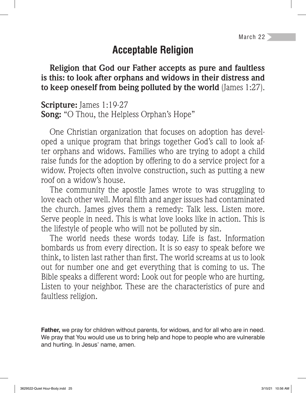### **Acceptable Religion**

**Religion that God our Father accepts as pure and faultless is this: to look after orphans and widows in their distress and to keep oneself from being polluted by the world** (James 1:27).

**Scripture:** James 1:19-27 **Song:** "O Thou, the Helpless Orphan's Hope"

One Christian organization that focuses on adoption has developed a unique program that brings together God's call to look after orphans and widows. Families who are trying to adopt a child raise funds for the adoption by offering to do a service project for a widow. Projects often involve construction, such as putting a new roof on a widow's house.

The community the apostle James wrote to was struggling to love each other well. Moral filth and anger issues had contaminated the church. James gives them a remedy: Talk less. Listen more. Serve people in need. This is what love looks like in action. This is the lifestyle of people who will not be polluted by sin.

The world needs these words today. Life is fast. Information bombards us from every direction. It is so easy to speak before we think, to listen last rather than first. The world screams at us to look out for number one and get everything that is coming to us. The Bible speaks a different word: Look out for people who are hurting. Listen to your neighbor. These are the characteristics of pure and faultless religion.

**Father,** we pray for children without parents, for widows, and for all who are in need. We pray that You would use us to bring help and hope to people who are vulnerable and hurting. In Jesus' name, amen.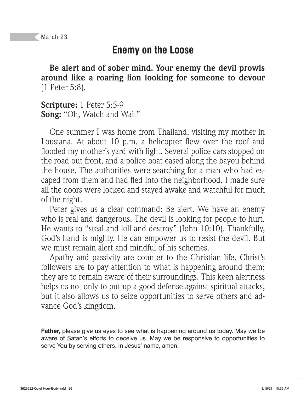### **Enemy on the Loose**

**Be alert and of sober mind. Your enemy the devil prowls around like a roaring lion looking for someone to devour**  (1 Peter 5:8).

**Scripture:** 1 Peter 5:5-9 **Song:** "Oh, Watch and Wait"

One summer I was home from Thailand, visiting my mother in Lousiana. At about 10 p.m. a helicopter flew over the roof and flooded my mother's yard with light. Several police cars stopped on the road out front, and a police boat eased along the bayou behind the house. The authorities were searching for a man who had escaped from them and had fled into the neighborhood. I made sure all the doors were locked and stayed awake and watchful for much of the night.

Peter gives us a clear command: Be alert. We have an enemy who is real and dangerous. The devil is looking for people to hurt. He wants to "steal and kill and destroy" (John 10:10). Thankfully, God's hand is mighty. He can empower us to resist the devil. But we must remain alert and mindful of his schemes.

Apathy and passivity are counter to the Christian life. Christ's followers are to pay attention to what is happening around them; they are to remain aware of their surroundings. This keen alertness helps us not only to put up a good defense against spiritual attacks, but it also allows us to seize opportunities to serve others and advance God's kingdom.

**Father,** please give us eyes to see what is happening around us today. May we be aware of Satan's efforts to deceive us. May we be responsive to opportunities to serve You by serving others. In Jesus' name, amen.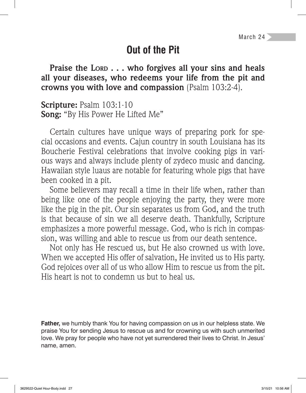### **Out of the Pit**

**Praise the LORD . . . who forgives all your sins and heals all your diseases, who redeems your life from the pit and crowns you with love and compassion** (Psalm 103:2-4).

**Scripture:** Psalm 103:1-10 **Song:** "By His Power He Lifted Me"

Certain cultures have unique ways of preparing pork for special occasions and events. Cajun country in south Louisiana has its Boucherie Festival celebrations that involve cooking pigs in various ways and always include plenty of zydeco music and dancing. Hawaiian style luaus are notable for featuring whole pigs that have been cooked in a pit.

Some believers may recall a time in their life when, rather than being like one of the people enjoying the party, they were more like the pig in the pit. Our sin separates us from God, and the truth is that because of sin we all deserve death. Thankfully, Scripture emphasizes a more powerful message. God, who is rich in compassion, was willing and able to rescue us from our death sentence.

Not only has He rescued us, but He also crowned us with love. When we accepted His offer of salvation, He invited us to His party. God rejoices over all of us who allow Him to rescue us from the pit. His heart is not to condemn us but to heal us.

**Father,** we humbly thank You for having compassion on us in our helpless state. We praise You for sending Jesus to rescue us and for crowning us with such unmerited love. We pray for people who have not yet surrendered their lives to Christ. In Jesus' name, amen.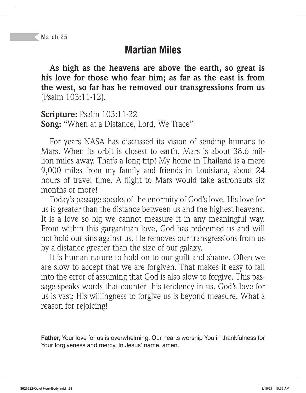# **Martian Miles**

**As high as the heavens are above the earth, so great is his love for those who fear him; as far as the east is from the west, so far has he removed our transgressions from us**  (Psalm 103:11-12).

**Scripture:** Psalm 103:11-22 **Song:** "When at a Distance, Lord, We Trace"

For years NASA has discussed its vision of sending humans to Mars. When its orbit is closest to earth, Mars is about 38.6 million miles away. That's a long trip! My home in Thailand is a mere 9,000 miles from my family and friends in Louisiana, about 24 hours of travel time. A flight to Mars would take astronauts six months or more!

Today's passage speaks of the enormity of God's love. His love for us is greater than the distance between us and the highest heavens. It is a love so big we cannot measure it in any meaningful way. From within this gargantuan love, God has redeemed us and will not hold our sins against us. He removes our transgressions from us by a distance greater than the size of our galaxy.

It is human nature to hold on to our guilt and shame. Often we are slow to accept that we are forgiven. That makes it easy to fall into the error of assuming that God is also slow to forgive. This passage speaks words that counter this tendency in us. God's love for us is vast; His willingness to forgive us is beyond measure. What a reason for rejoicing!

**Father,** Your love for us is overwhelming. Our hearts worship You in thankfulness for Your forgiveness and mercy. In Jesus' name, amen.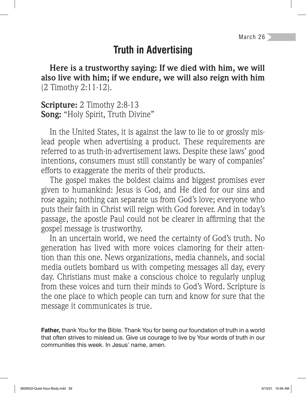March 26

#### **Truth in Advertising**

**Here is a trustworthy saying: If we died with him, we will also live with him; if we endure, we will also reign with him**  (2 Timothy 2:11-12).

**Scripture:** 2 Timothy 2:8-13 **Song:** "Holy Spirit, Truth Divine"

In the United States, it is against the law to lie to or grossly mislead people when advertising a product. These requirements are referred to as truth-in-advertisement laws. Despite these laws' good intentions, consumers must still constantly be wary of companies' efforts to exaggerate the merits of their products.

The gospel makes the boldest claims and biggest promises ever given to humankind: Jesus is God, and He died for our sins and rose again; nothing can separate us from God's love; everyone who puts their faith in Christ will reign with God forever. And in today's passage, the apostle Paul could not be clearer in affirming that the gospel message is trustworthy.

In an uncertain world, we need the certainty of God's truth. No generation has lived with more voices clamoring for their attention than this one. News organizations, media channels, and social media outlets bombard us with competing messages all day, every day. Christians must make a conscious choice to regularly unplug from these voices and turn their minds to God's Word. Scripture is the one place to which people can turn and know for sure that the message it communicates is true.

**Father,** thank You for the Bible. Thank You for being our foundation of truth in a world that often strives to mislead us. Give us courage to live by Your words of truth in our communities this week. In Jesus' name, amen.